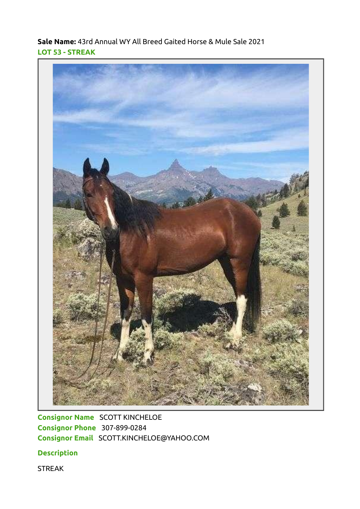Sale Name: 43rd Annual WY All Breed Gaited Horse & Mule Sale 2021 LOT 53 - STREAK



Consignor Name SCOTT KINCHELOE Consignor Phone 307-899-0284 Consignor Email SCOTT.KINCHELOE@YAHOO.COM

**Description** 

STREAK